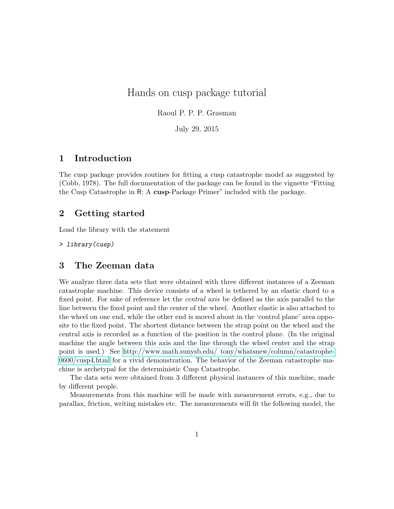# Hands on cusp package tutorial

Raoul P. P. P. Grasman

July 29, 2015

### 1 Introduction

The cusp package provides routines for fitting a cusp catastrophe model as suggested by (Cobb, 1978). The full documentation of the package can be found in the vignette "Fitting the Cusp Catastrophe in R: A cusp-Package Primer" included with the package.

### 2 Getting started

Load the library with the statement

> library(cusp)

### 3 The Zeeman data

We analyze three data sets that were obtained with three different instances of a Zeeman catastrophe machine. This device consists of a wheel is tethered by an elastic chord to a fixed point. For sake of reference let the *central axis* be defined as the axis parallel to the line between the fixed point and the center of the wheel. Another elastic is also attached to the wheel on one end, while the other end is moved about in the 'control plane' area opposite to the fixed point. The shortest distance between the strap point on the wheel and the central axis is recorded as a function of the position in the control plane. (In the original machine the angle between this axis and the line through the wheel center and the strap point is used.) See [http://www.math.sunysb.edu/ tony/whatsnew/column/catastrophe-](http://www.math.sunysb.edu/~tony/whatsnew/column/catastrophe-0600/cusp4.html)[0600/cusp4.html](http://www.math.sunysb.edu/~tony/whatsnew/column/catastrophe-0600/cusp4.html) for a vivid demonstration. The behavior of the Zeeman catastrophe machine is archetypal for the deterministic Cusp Catastrophe.

The data sets were obtained from 3 different physical instances of this machine, made by different people.

Measurements from this machine will be made with measurement errors, e.g., due to parallax, friction, writing mistakes etc. The measurements will fit the following model, the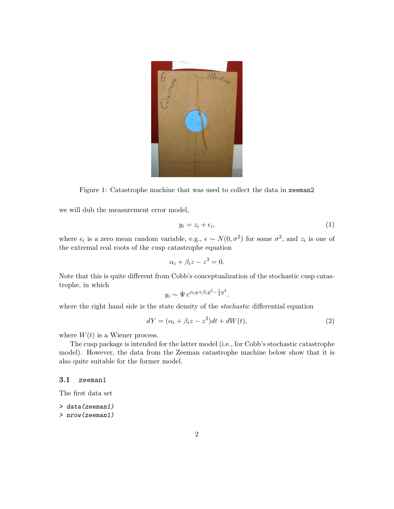

Figure 1: Catastrophe machine that was used to collect the data in zeeman2

we will dub the measurement error model,

<span id="page-1-1"></span>
$$
y_i = z_i + \epsilon_i,\tag{1}
$$

where  $\epsilon_i$  is a zero mean random variable, e.g.,  $\epsilon \sim N(0, \sigma^2)$  for some  $\sigma^2$ , and  $z_i$  is one of the extremal real roots of the cusp catastrophe equation

$$
\alpha_i + \beta_i z - z^3 = 0.
$$

Note that this is quite different from Cobb's conceptualization of the stochastic cusp catastrophe, in which

$$
y_i \sim \Psi \, e^{\alpha_i y + \beta_i y^2 - \frac{1}{4} y^4}.
$$

where the right hand side is the state density of the *stochastic* differential equation

<span id="page-1-0"></span>
$$
dY = (\alpha_i + \beta_i z - z^3)dt + dW(t),
$$
\n(2)

where  $W(t)$  is a Wiener process.

The cusp package is intended for the latter model (i.e., for Cobb's stochastic catastrophe model). However, the data from the Zeeman catastrophe machine below show that it is also quite suitable for the former model.

#### 3.1 zeeman1

The first data set

- > data(zeeman1)
- > nrow(zeeman1)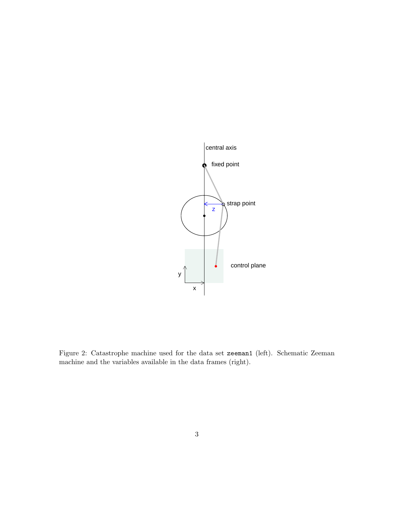

<span id="page-2-0"></span>Figure 2: Catastrophe machine used for the data set zeeman1 (left). Schematic Zeeman machine and the variables available in the data frames (right).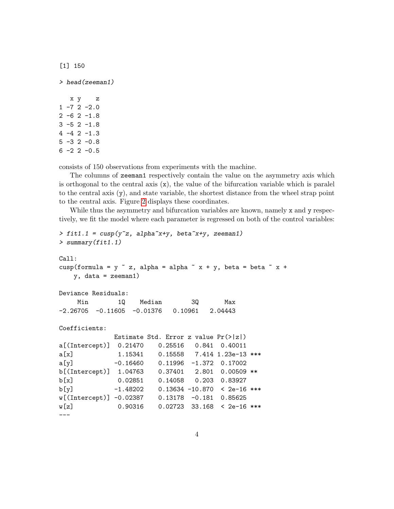[1] 150

```
x y z
1 - 7 2 -2.02 -6 2 -1.83 -5 2 -1.8
4 -4 2 -1.3
5 -3 2 -0.86 - 2 2 - 0.5
```
> head(zeeman1)

consists of 150 observations from experiments with the machine.

The columns of zeeman1 respectively contain the value on the asymmetry axis which is orthogonal to the central axis  $(x)$ , the value of the bifurcation variable which is paralel to the central axis (y), and state variable, the shortest distance from the wheel strap point to the central axis. Figure [2](#page-2-0) displays these coordinates.

While thus the asymmetry and bifurcation variables are known, namely x and y respectively, we fit the model where each parameter is regressed on both of the control variables:

```
> fit1.1 = cusp(y^z, alpha^x + y, beta^x + y, zeeman1)> summary(fit1.1)
Call:
cusp(formula = y \tilde{z}, alpha = alpha \tilde{z} x + y, beta = beta \tilde{z} x +
   y, data = zeeman1)
Deviance Residuals:
    Min 1Q Median 3Q Max
-2.26705 -0.11605 -0.01376 0.10961 2.04443
Coefficients:
             Estimate Std. Error z value Pr(>|z|)
a[(Intercept)] 0.21470 0.25516 0.841 0.40011
a[x] 1.15341 0.15558 7.414 1.23e-13 ***
a[y] -0.16460 0.11996 -1.372 0.17002
b[(Intercept)] 1.04763 0.37401 2.801 0.00509 **
b[x] 0.02851 0.14058 0.203 0.83927
b[y] -1.48202 0.13634 -10.870 < 2e-16 ***
w[(Intercept)] -0.02387 0.13178 -0.181 0.85625
w[z] 0.90316 0.02723 33.168 < 2e-16 ***
---
```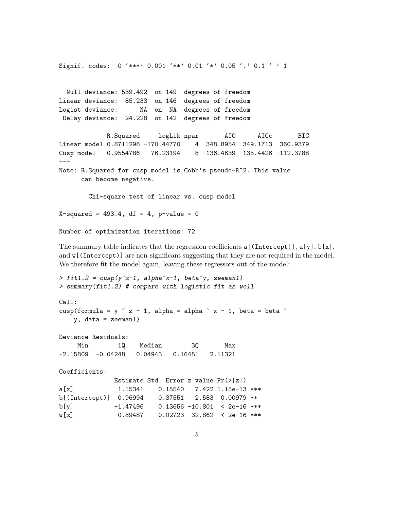```
Signif. codes: 0 '***' 0.001 '**' 0.01 '*' 0.05 '.' 0.1 ' ' 1
 Null deviance: 539.492 on 149 degrees of freedom
Linear deviance: 85.233 on 146 degrees of freedom
Logist deviance: NA on NA degrees of freedom
Delay deviance: 24.228 on 142 degrees of freedom
            R.Squared logLik npar AIC AICc BIC
Linear model 0.8711298 -170.44770 4 348.8954 349.1713 360.9379
Cusp model 0.9554786 76.23194 8 -136.4639 -135.4426 -112.3788
---
Note: R.Squared for cusp model is Cobb's pseudo-R^2. This value
     can become negative.
       Chi-square test of linear vs. cusp model
X-squared = 493.4, df = 4, p-value = 0
```
The summary table indicates that the regression coefficients  $a[(Intercept)], a[y], b[x],$ and  $\mathbf{w}$ [(Intercept)] are non-significant suggesting that they are not required in the model. We therefore fit the model again, leaving these regressors out of the model:

```
> fit1.2 = cusp(y<sup>z-1</sup>, alpha<sup>x-1</sup>, beta\tilde{y}, zeeman1)
> summary(fit1.2) # compare with logistic fit as well
Call:
cusp(formula = y z - 1, alpha = alpha x - 1, beta = beta xy, data = zeeman1)
Deviance Residuals:
    Min 1Q Median 3Q Max
-2.15809 -0.04248 0.04943 0.16451 2.11321
Coefficients:
             Estimate Std. Error z value Pr(>|z|)
a[x] 1.15341 0.15540 7.422 1.15e-13 ***
b[(Intercept)] 0.96994 0.37551 2.583 0.00979 **
b[y] -1.47496 0.13656 -10.801 < 2e-16 ***
w[z] 0.89487 0.02723 32.862 < 2e-16 ***
```
Number of optimization iterations: 72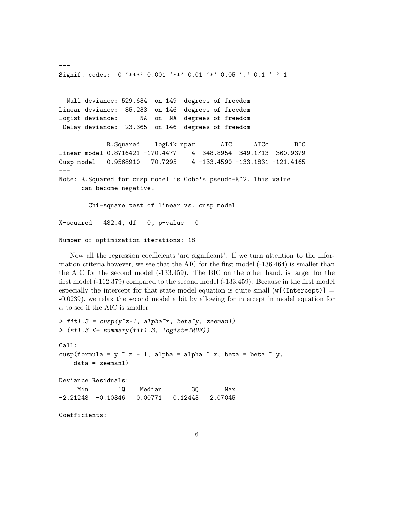```
Signif. codes: 0 '***' 0.001 '**' 0.01 '*' 0.05 '.' 0.1 ' ' 1
 Null deviance: 529.634 on 149 degrees of freedom
Linear deviance: 85.233 on 146 degrees of freedom
Logist deviance: NA on NA degrees of freedom
Delay deviance: 23.365 on 146 degrees of freedom
            R.Squared logLik npar AIC AICc BIC
Linear model 0.8716421 -170.4477 4 348.8954 349.1713 360.9379
Cusp model 0.9568910 70.7295 4 -133.4590 -133.1831 -121.4165
---
Note: R.Squared for cusp model is Cobb's pseudo-R^2. This value
     can become negative.
       Chi-square test of linear vs. cusp model
X-squared = 482.4, df = 0, p-value = 0
Number of optimization iterations: 18
```
---

Now all the regression coefficients 'are significant'. If we turn attention to the information criteria however, we see that the AIC for the first model (-136.464) is smaller than the AIC for the second model (-133.459). The BIC on the other hand, is larger for the first model (-112.379) compared to the second model (-133.459). Because in the first model especially the intercept for that state model equation is quite small  $(\nu[(\text{Intercept})] =$ -0.0239), we relax the second model a bit by allowing for intercept in model equation for  $\alpha$  to see if the AIC is smaller

```
> fit1.3 = cusp(y^2z-1, alphax, betay, zeeman1)
> (sf1.3 <- summary(fit1.3, logist=TRUE))
Call:
cusp(formula = y z - 1, alpha = alpha x, beta = beta x,
   data = zeeman1)
Deviance Residuals:
    Min 1Q Median 3Q Max
-2.21248 -0.10346 0.00771 0.12443 2.07045
Coefficients:
```

```
6
```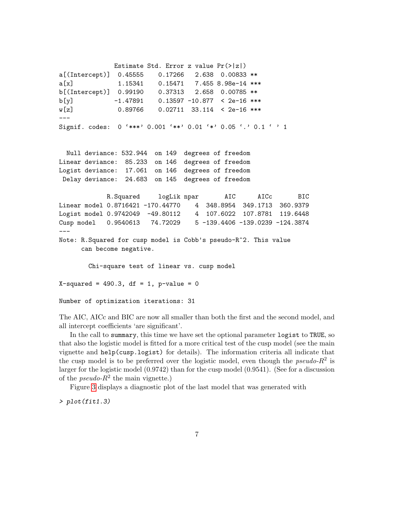Estimate Std. Error z value  $Pr(>|z|)$ a[(Intercept)] 0.45555 0.17266 2.638 0.00833 \*\* a[x] 1.15341 0.15471 7.455 8.98e-14 \*\*\* b[(Intercept)] 0.99190 0.37313 2.658 0.00785 \*\*  $b[y]$  -1.47891 0.13597 -10.877 < 2e-16 \*\*\* w[z] 0.89766 0.02711 33.114 < 2e-16 \*\*\* --- Signif. codes: 0 '\*\*\*' 0.001 '\*\*' 0.01 '\*' 0.05 '.' 0.1 ' ' 1 Null deviance: 532.944 on 149 degrees of freedom Linear deviance: 85.233 on 146 degrees of freedom Logist deviance: 17.061 on 146 degrees of freedom Delay deviance: 24.683 on 145 degrees of freedom R.Squared logLik npar AIC AICc BIC Linear model 0.8716421 -170.44770 4 348.8954 349.1713 360.9379 Logist model 0.9742049 -49.80112 4 107.6022 107.8781 119.6448 Cusp model 0.9540613 74.72029 5-139.4406-139.0239-124.3874 --- Note: R.Squared for cusp model is Cobb's pseudo-R^2. This value can become negative. Chi-square test of linear vs. cusp model  $X$ -squared = 490.3, df = 1, p-value = 0 Number of optimization iterations: 31

The AIC, AICc and BIC are now all smaller than both the first and the second model, and all intercept coefficients 'are significant'.

In the call to summary, this time we have set the optional parameter logist to TRUE, so that also the logistic model is fitted for a more critical test of the cusp model (see the main vignette and help(cusp.logist) for details). The information criteria all indicate that the cusp model is to be preferred over the logistic model, even though the  $pseudo-R^2$  is larger for the logistic model (0.9742) than for the cusp model (0.9541). (See for a discussion of the *pseudo-R*<sup>2</sup> the main vignette.)

Figure [3](#page-7-0) displays a diagnostic plot of the last model that was generated with

> plot(fit1.3)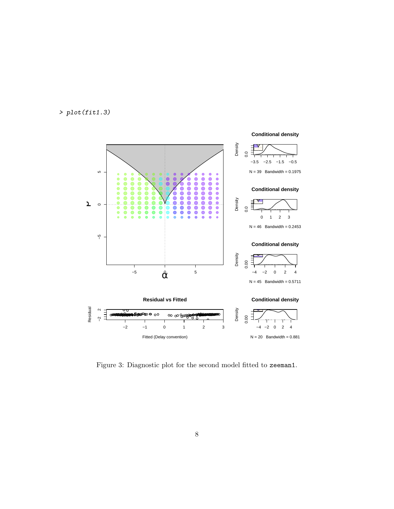# > plot(fit1.3)



<span id="page-7-0"></span>Figure 3: Diagnostic plot for the second model fitted to zeeman1.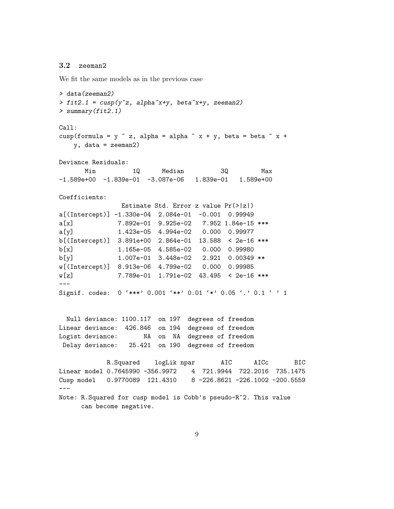### 3.2 zeeman2

We fit the same models as in the previous case

> data(zeeman2)  $> fit2.1 = cusp(y^z, alpha^x + y, beta^x + y, zeeman2)$ > summary(fit2.1) Call: cusp(formula =  $y$   $\tilde{z}$ , alpha = alpha  $\tilde{z}$  x +  $y$ , beta = beta  $\tilde{z}$  x + y, data = zeeman2) Deviance Residuals: Min 1Q Median 3Q Max  $-1.589e+00 -1.839e-01 -3.087e-06$  1.839e-01 1.589e+00 Coefficients: Estimate Std. Error z value Pr(>|z|) a[(Intercept)] -1.330e-04 2.084e-01 -0.001 0.99949 a[x] 7.892e-01 9.925e-02 7.952 1.84e-15 \*\*\* a[y] 1.423e-05 4.994e-02 0.000 0.99977 b[(Intercept)] 3.891e+00 2.864e-01 13.588 < 2e-16 \*\*\* b[x] 1.165e-05 4.585e-02 0.000 0.99980 b[y] 1.007e-01 3.448e-02 2.921 0.00349 \*\* w[(Intercept)] 8.913e-06 4.799e-02 0.000 0.99985 w[z] 7.789e-01 1.791e-02 43.495 < 2e-16 \*\*\* --- Signif. codes: 0 '\*\*\*' 0.001 '\*\*' 0.01 '\*' 0.05 '.' 0.1 ' ' 1 Null deviance: 1100.117 on 197 degrees of freedom Linear deviance: 426.846 on 194 degrees of freedom Logist deviance: MA on NA degrees of freedom Delay deviance: 25.421 on 190 degrees of freedom R.Squared logLik npar AIC AICc BIC Linear model 0.7645990 -356.9972 4 721.9944 722.2016 735.1475 Cusp model 0.9770089 121.4310 8 -226.8621 -226.1002 -200.5559 --- Note: R.Squared for cusp model is Cobb's pseudo-R^2. This value can become negative.

9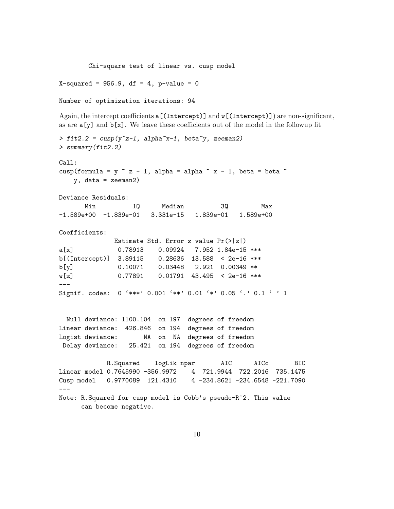Chi-square test of linear vs. cusp model

 $X$ -squared = 956.9, df = 4, p-value = 0

Number of optimization iterations: 94

Again, the intercept coefficients  $\alpha$  [(Intercept)] and  $\psi$  [(Intercept)]) are non-significant, as are  $a[y]$  and  $b[x]$ . We leave these coefficients out of the model in the followup fit

```
> fit2.2 = cusp(y<sup>z-1</sup>, alpha<sup>x-1</sup>, beta\tilde{y}, zeeman2)
> summary(fit2.2)
Call:
cusp(formula = y z - 1, alpha = alpha x - 1, beta = beta xy, data = zeeman2)
Deviance Residuals:
      Min 1Q Median 3Q Max
-1.589e+00 -1.839e-01 3.331e-15 1.839e-01 1.589e+00
Coefficients:
             Estimate Std. Error z value Pr(>|z|)
a[x] 0.78913 0.09924 7.952 1.84e-15 ***
b[(Intercept)] 3.89115 0.28636 13.588 < 2e-16 ***
b[y] 0.10071 0.03448 2.921 0.00349 **
w[z] 0.77891 0.01791 43.495 < 2e-16 ***
---
Signif. codes: 0 '***' 0.001 '**' 0.01 '*' 0.05 '.' 0.1 ' ' 1
 Null deviance: 1100.104 on 197 degrees of freedom
Linear deviance: 426.846 on 194 degrees of freedom
Logist deviance: NA on NA degrees of freedom
Delay deviance: 25.421 on 194 degrees of freedom
           R.Squared logLik npar AIC AICc BIC
Linear model 0.7645990 -356.9972 4 721.9944 722.2016 735.1475
Cusp model  0.9770089  121.4310  4 -234.8621 -234.6548 -221.7090
---
Note: R.Squared for cusp model is Cobb's pseudo-R^2. This value
     can become negative.
```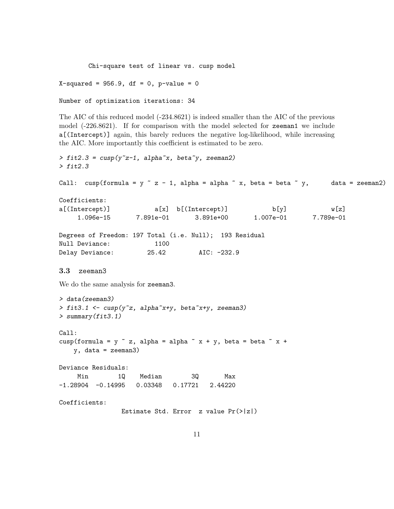Chi-square test of linear vs. cusp model

 $X$ -squared = 956.9, df = 0, p-value = 0

```
Number of optimization iterations: 34
```
The AIC of this reduced model (-234.8621) is indeed smaller than the AIC of the previous model (-226.8621). If for comparison with the model selected for zeeman1 we include a[(Intercept)] again, this barely reduces the negative log-likelihood, while increasing the AIC. More importantly this coefficient is estimated to be zero.

```
> fit2.3 = cusp(y^z-1, alpha^x, beta^y, zeeman2)> fit2.3
Call: cusp(formula = y z - 1, alpha = alpha x, beta = beta x y, data = zeeman2)
Coefficients:
a[(Intercept)] a[x] b[(Intercept)] b[y] w[z]1.096e-15 7.891e-01 3.891e+00 1.007e-01 7.789e-01
Degrees of Freedom: 197 Total (i.e. Null); 193 Residual
Null Deviance: 1100
Delay Deviance: 25.42 AIC: -232.9
3.3 zeeman3
We do the same analysis for zeeman3.
> data(zeeman3)
> fit3.1 <- cusp(y^z, alpha^x + y, beta^x + y, zeeman3)> summary(fit3.1)
Call:
cusp(formula = y \tilde{z}, alpha = alpha \tilde{z} x + y, beta = beta \tilde{z} x +
   y, data = zeeman3)
Deviance Residuals:
    Min 1Q Median 3Q Max
-1.28904 -0.14995 0.03348 0.17721 2.44220
Coefficients:
               Estimate Std. Error z value Pr(>|z|)
```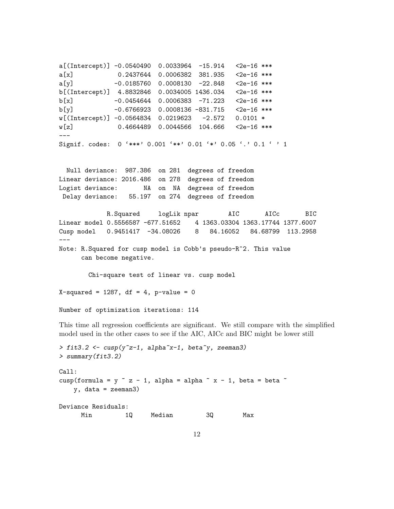a[(Intercept)] -0.0540490 0.0033964 -15.914 <2e-16 \*\*\* a[x] 0.2437644 0.0006382 381.935 <2e-16 \*\*\* a[y] -0.0185760 0.0008130 -22.848 <2e-16 \*\*\* b[(Intercept)] 4.8832846 0.0034005 1436.034 <2e-16 \*\*\* b[x] -0.0454644 0.0006383 -71.223 <2e-16 \*\*\* b[y] -0.6766923 0.0008136 -831.715 <2e-16 \*\*\* w[(Intercept)] -0.0564834 0.0219623 -2.572 0.0101 \* w[z] 0.4664489 0.0044566 104.666 <2e-16 \*\*\* --- Signif. codes:  $0$  '\*\*\*' 0.001 '\*\*' 0.01 '\*' 0.05 '.' 0.1 ' ' 1 Null deviance: 987.386 on 281 degrees of freedom Linear deviance: 2016.486 on 278 degrees of freedom Logist deviance: MA on NA degrees of freedom Delay deviance: 55.197 on 274 degrees of freedom R.Squared logLik npar AIC AICc BIC Linear model 0.5556587 -677.51652 4 1363.03304 1363.17744 1377.6007 Cusp model 0.9451417 -34.08026 8 84.16052 84.68799 113.2958 --- Note: R.Squared for cusp model is Cobb's pseudo-R^2. This value can become negative. Chi-square test of linear vs. cusp model  $X$ -squared = 1287, df = 4, p-value = 0 Number of optimization iterations: 114

This time all regression coefficients are significant. We still compare with the simplified model used in the other cases to see if the AIC, AICc and BIC might be lower still

```
> fit3.2 <- cusp(y^z-1, alpha^x-1, beta^y, zeeman3)> summary(fit3.2)
Call:
cusp(formula = y \tilde{z} - 1, alpha = alpha \tilde{z} x - 1, beta = beta \tilde{z}y, data = zeeman3)
Deviance Residuals:
     Min 1Q Median 3Q Max
```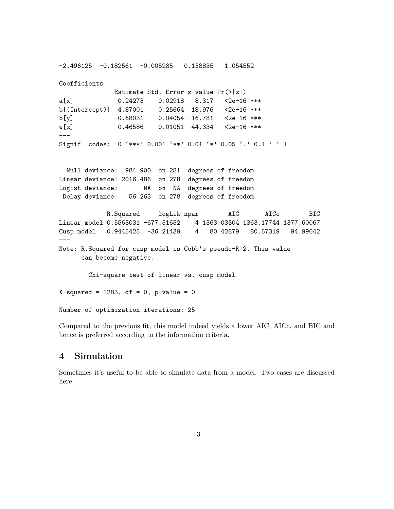-2.496125 -0.182561 -0.005285 0.158835 1.054552 Coefficients: Estimate Std. Error z value Pr(>|z|) a[x] 0.24273 0.02918 8.317 <2e-16 \*\*\* b[(Intercept)] 4.87001 0.25664 18.976 <2e-16 \*\*\*  $b[y]$  -0.68031 0.04054 -16.781 <2e-16 \*\*\* w[z] 0.46586 0.01051 44.334 <2e-16 \*\*\* --- Signif. codes: 0 '\*\*\*' 0.001 '\*\*' 0.01 '\*' 0.05 '.' 0.1 ' ' 1 Null deviance: 984.900 on 281 degrees of freedom Linear deviance: 2016.486 on 278 degrees of freedom Logist deviance: NA on NA degrees of freedom Delay deviance: 56.263 on 278 degrees of freedom R.Squared logLik npar AIC AICc BIC Linear model 0.5563031 -677.51652 4 1363.03304 1363.17744 1377.60067 Cusp model 0.9445425 -36.21439 4 80.42879 80.57319 94.99642 --- Note: R.Squared for cusp model is Cobb's pseudo-R^2. This value can become negative. Chi-square test of linear vs. cusp model  $X$ -squared = 1283, df = 0, p-value = 0 Number of optimization iterations: 25

Compared to the previous fit, this model indeed yields a lower AIC, AICc, and BIC and hence is preferred according to the information criteria.

## 4 Simulation

Sometimes it's useful to be able to simulate data from a model. Two cases are discussed here.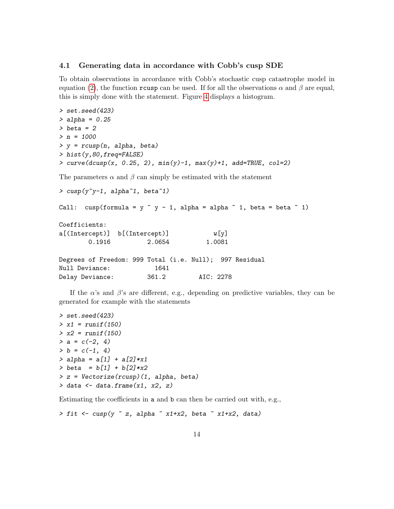#### 4.1 Generating data in accordance with Cobb's cusp SDE

To obtain observations in accordance with Cobb's stochastic cusp catastrophe model in equation [\(2\)](#page-1-0), the function rousp can be used. If for all the observations  $\alpha$  and  $\beta$  are equal, this is simply done with the statement. Figure [4](#page-14-0) displays a histogram.

```
> set.seed(423)
> alpha = 0.25> beta = 2> n = 1000> y = r \cos p(n, alpha, beta)> hist(y,80,freq=FALSE)
> curve(dcusp(x, 0.25, 2), min(y)-1, max(y)+1, add=TRUE, col=2)
```
The parameters  $\alpha$  and  $\beta$  can simply be estimated with the statement

```
> cusp(y^{\sim}y-1, alpha^{\sim}1, beta^{\sim}1)
```

```
Call: cusp(formula = y \tilde{y} - 1, alpha = alpha \tilde{y} 1, beta = beta \tilde{y} 1)
Coefficients:
a[(Intercept)] b[(Intercept)] w[y]
       0.1916 2.0654 1.0081
Degrees of Freedom: 999 Total (i.e. Null); 997 Residual
Null Deviance: 1641
Delay Deviance: 361.2 AIC: 2278
```
If the  $\alpha$ 's and  $\beta$ 's are different, e.g., depending on predictive variables, they can be generated for example with the statements

```
> set.seed(423)
> x1 = runif(150)> x2 = runif(150)> a = c(-2, 4)> b = c(-1, 4)> alpha = a[1] + a[2]*x1
> \text{beta} = b[1] + b[2]*x2> z = Vectorize(rcusp)(1, alpha, beta)
> data <- data.frame(x1, x2, z)
```
Estimating the coefficients in a and b can then be carried out with, e.g.,

```
> fit <- cusp(y \text{ z}, a]pha x1+x2, beta x1+x2, data)
```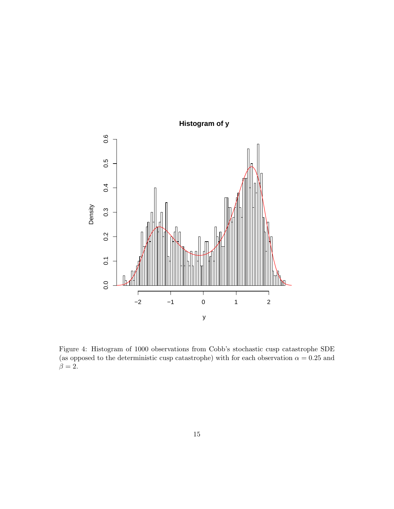

<span id="page-14-0"></span>Figure 4: Histogram of 1000 observations from Cobb's stochastic cusp catastrophe SDE (as opposed to the deterministic cusp catastrophe) with for each observation  $\alpha = 0.25$  and  $\beta = 2.$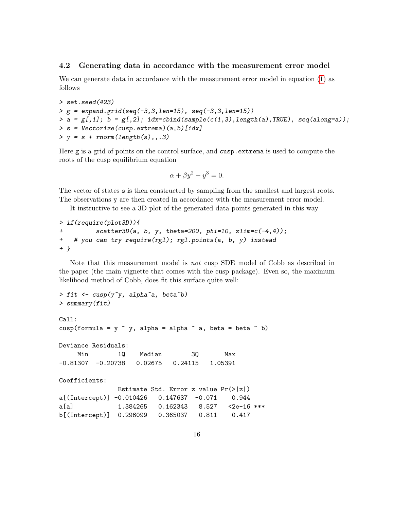#### 4.2 Generating data in accordance with the measurement error model

We can generate data in accordance with the measurement error model in equation [\(1\)](#page-1-1) as follows

```
> set.seed(423)
> g = expand.grid(seq(-3, 3, len=15), seq(-3, 3, len=15))> a = g[,1]; b = g[,2]; i dx = chind(sample(c(1,3), length(a), TRUE), seq(along=a));> s = Vectorize(cusp.extrema)(a,b)[idx]
> y = s + rnorm(length(s), . . 3)
```
Here g is a grid of points on the control surface, and cusp.extrema is used to compute the roots of the cusp equilibrium equation

$$
\alpha + \beta y^2 - y^3 = 0.
$$

The vector of states s is then constructed by sampling from the smallest and largest roots. The observations y are then created in accordance with the measurement error model.

It instructive to see a 3D plot of the generated data points generated in this way

```
> if(require(plot3D)){
+ scatter3D(a, b, y, theta=200, phi=10, zlim=c(-4,4));
+ # you can try require(rgl); rgl.points(a, b, y) instead
+ }
```
Note that this measurement model is not cusp SDE model of Cobb as described in the paper (the main vignette that comes with the cusp package). Even so, the maximum likelihood method of Cobb, does fit this surface quite well:

```
> fit <- cusp(y^{\sim}y, alpha^{\sim}a, beta^{\sim}b)> summary(fit)
Call:
cusp(formula = y \tilde{y}, alpha = alpha \tilde{y} a, beta = beta \tilde{y} b)
Deviance Residuals:
    Min 1Q Median 3Q Max
-0.81307 -0.20738 0.02675 0.24115 1.05391
Coefficients:
               Estimate Std. Error z value Pr(>|z|)
a[(Intercept)] -0.010426 0.147637 -0.071 0.944
a[a] 1.384265 0.162343 8.527 <2e-16 ***
b[(Intercept)] 0.296099 0.365037 0.811 0.417
```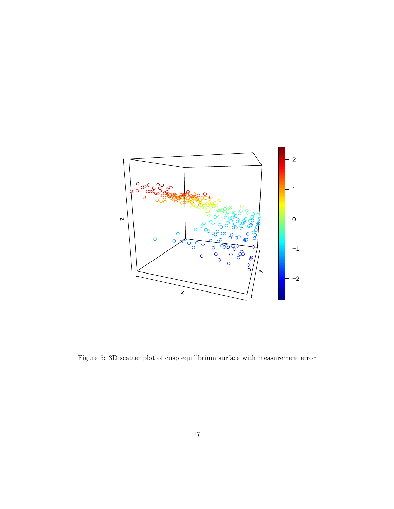

Figure 5: 3D scatter plot of cusp equilibrium surface with measurement error  $\,$